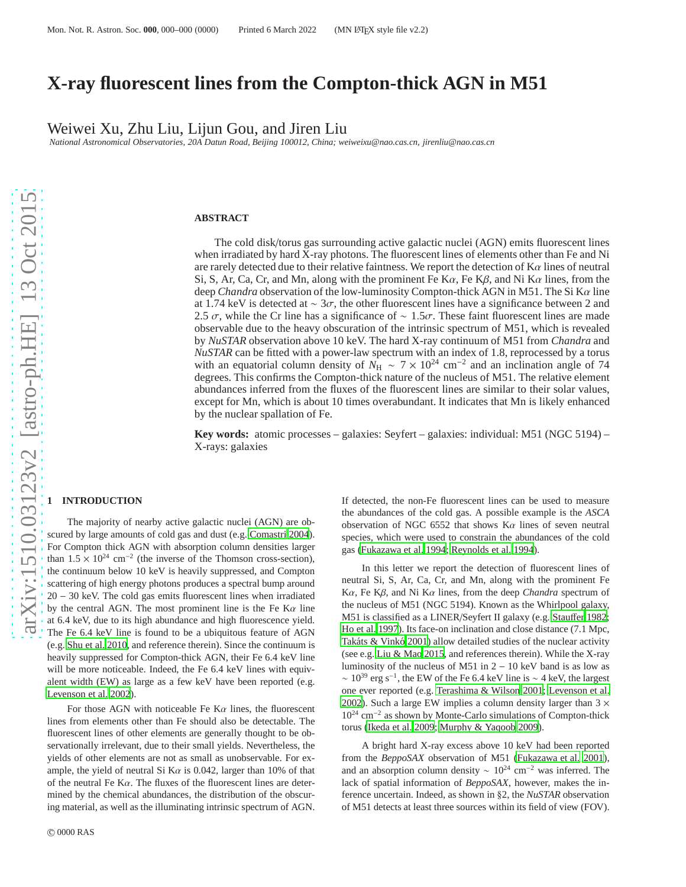# **X-ray fluorescent lines from the Compton-thick AGN in M51**

Weiwei Xu, Zhu Liu, Lijun Gou, and Jiren Liu

*National Astronomical Observatories, 20A Datun Road, Beijing 100012, China; weiweixu@nao.cas.cn, jirenliu@nao.cas.cn*

#### **ABSTRACT**

The cold disk/torus gas surrounding active galactic nuclei (AGN) emits fluorescent lines when irradiated by hard X-ray photons. The fluorescent lines of elements other than Fe and Ni are rarely detected due to their relative faintness. We report the detection of  $K\alpha$  lines of neutral Si, S, Ar, Ca, Cr, and Mn, along with the prominent Fe  $K\alpha$ , Fe  $K\beta$ , and Ni  $K\alpha$  lines, from the deep *Chandra* observation of the low-luminosity Compton-thick AGN in M51. The Si Kα line at 1.74 keV is detected at  $\sim 3\sigma$ , the other fluorescent lines have a significance between 2 and 2.5  $\sigma$ , while the Cr line has a significance of ~ 1.5 $\sigma$ . These faint fluorescent lines are made observable due to the heavy obscuration of the intrinsic spectrum of M51, which is revealed by *NuSTAR* observation above 10 keV. The hard X-ray continuum of M51 from *Chandra* and *NuSTAR* can be fitted with a power-law spectrum with an index of 1.8, reprocessed by a torus with an equatorial column density of  $\dot{N}_{\rm H} \sim 7 \times 10^{24}$  cm<sup>-2</sup> and an inclination angle of 74 degrees. This confirms the Compton-thick nature of the nucleus of M51. The relative element abundances inferred from the fluxes of the fluorescent lines are similar to their solar values, except for Mn, which is about 10 times overabundant. It indicates that Mn is likely enhanced by the nuclear spallation of Fe.

**Key words:** atomic processes – galaxies: Seyfert – galaxies: individual: M51 (NGC 5194) – X-rays: galaxies

## **1 INTRODUCTION**

The majority of nearby active galactic nuclei (AGN) are obscured by large amounts of cold gas and dust (e.g. [Comastri 2004](#page-4-0)). For Compton thick AGN with absorption column densities larger than  $1.5 \times 10^{24}$  cm<sup>-2</sup> (the inverse of the Thomson cross-section), the continuum below 10 keV is heavily suppressed, and Compton scattering of high energy photons produces a spectral bump around 20 − 30 keV. The cold gas emits fluorescent lines when irradiated by the central AGN. The most prominent line is the Fe  $K\alpha$  line at 6.4 keV, due to its high abundance and high fluorescence yield. The Fe 6.4 keV line is found to be a ubiquitous feature of AGN (e.g. [Shu et al. 2010](#page-4-1), and reference therein). Since the continuum is heavily suppressed for Compton-thick AGN, their Fe 6.4 keV line will be more noticeable. Indeed, the Fe 6.4 keV lines with equivalent width (EW) as large as a few keV have been reported (e.g. [Levenson et al. 2002](#page-4-2)).

For those AGN with noticeable Fe  $K\alpha$  lines, the fluorescent lines from elements other than Fe should also be detectable. The fluorescent lines of other elements are generally thought to be observationally irrelevant, due to their small yields. Nevertheless, the yields of other elements are not as small as unobservable. For example, the yield of neutral Si K $\alpha$  is 0.042, larger than 10% of that of the neutral Fe K $\alpha$ . The fluxes of the fluorescent lines are determined by the chemical abundances, the distribution of the obscuring material, as well as the illuminating intrinsic spectrum of AGN. If detected, the non-Fe fluorescent lines can be used to measure the abundances of the cold gas. A possible example is the *ASCA* observation of NGC 6552 that shows  $K\alpha$  lines of seven neutral species, which were used to constrain the abundances of the cold gas [\(Fukazawa et al. 1994](#page-4-3); [Reynolds et al. 1994](#page-4-4)).

In this letter we report the detection of fluorescent lines of neutral Si, S, Ar, Ca, Cr, and Mn, along with the prominent Fe Kα, Fe Kβ, and Ni Kα lines, from the deep *Chandra* spectrum of the nucleus of M51 (NGC 5194). Known as the Whirlpool galaxy, M51 is classified as a LINER/Seyfert II galaxy (e.g. [Stau](#page-4-5)ffer [1982;](#page-4-5) [Ho et al. 1997](#page-4-6)). Its face-on inclination and close distance (7.1 Mpc, Takáts & Vinkó 2001) allow detailed studies of the nuclear activity (see e.g. [Liu & Mao 2015](#page-4-8), and references therein). While the X-ray luminosity of the nucleus of M51 in 2 − 10 keV band is as low as  $\sim 10^{39}$  erg s<sup>-1</sup>, the EW of the Fe 6.4 keV line is ~ 4 keV, the largest one ever reported (e.g. [Terashima & Wilson 2001;](#page-4-9) [Levenson et](#page-4-2) al. [2002](#page-4-2)). Such a large EW implies a column density larger than  $3 \times$ 10<sup>24</sup> cm<sup>−</sup><sup>2</sup> as shown by Monte-Carlo simulations of Compton-thick torus [\(Ikeda et al. 2009;](#page-4-10) [Murphy & Yaqoob 2009](#page-4-11)).

A bright hard X-ray excess above 10 keV had been reported from the *BeppoSAX* observation of M51 [\(Fukazawa et al. 2001](#page-4-12)), and an absorption column density  $\sim 10^{24}$  cm<sup>-2</sup> was inferred. The lack of spatial information of *BeppoSAX*, however, makes the inference uncertain. Indeed, as shown in §2, the *NuSTAR* observation of M51 detects at least three sources within its field of view (FOV).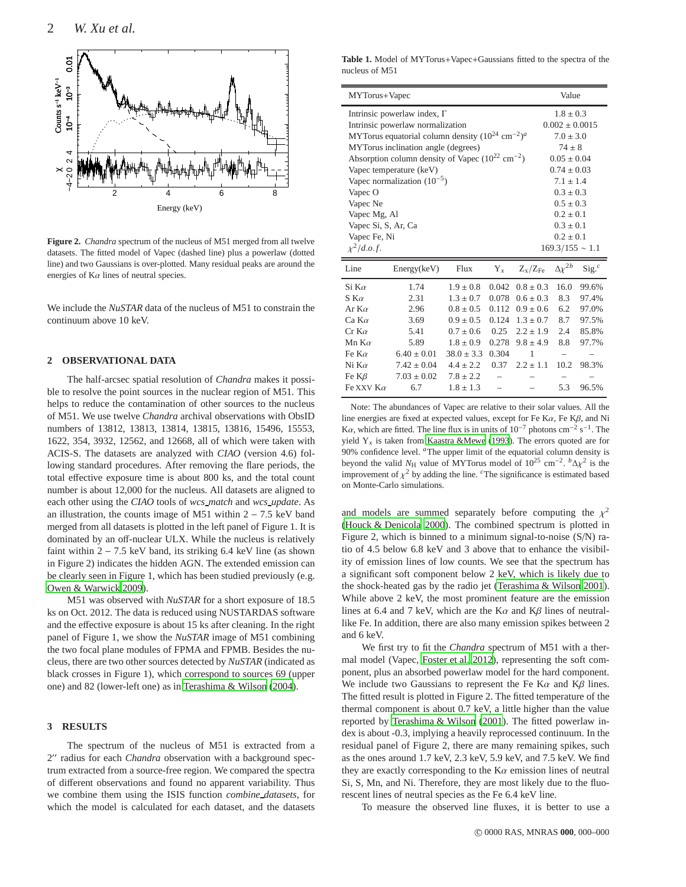

**Figure 2.** *Chandra* spectrum of the nucleus of M51 merged from all twelve datasets. The fitted model of Vapec (dashed line) plus a powerlaw (dotted line) and two Gaussians is over-plotted. Many residual peaks are around the energies of  $K\alpha$  lines of neutral species.

We include the *NuSTAR* data of the nucleus of M51 to constrain the continuum above 10 keV.

#### **2 OBSERVATIONAL DATA**

The half-arcsec spatial resolution of *Chandra* makes it possible to resolve the point sources in the nuclear region of M51. This helps to reduce the contamination of other sources to the nucleus of M51. We use twelve *Chandra* archival observations with ObsID numbers of 13812, 13813, 13814, 13815, 13816, 15496, 15553, 1622, 354, 3932, 12562, and 12668, all of which were taken with ACIS-S. The datasets are analyzed with *CIAO* (version 4.6) following standard procedures. After removing the flare periods, the total effective exposure time is about 800 ks, and the total count number is about 12,000 for the nucleus. All datasets are aligned to each other using the *CIAO* tools of *wcs match* and *wcs update*. As an illustration, the counts image of M51 within  $2 - 7.5$  keV band merged from all datasets is plotted in the left panel of Figure 1. It is dominated by an off-nuclear ULX. While the nucleus is relatively faint within  $2 - 7.5$  keV band, its striking 6.4 keV line (as shown in Figure 2) indicates the hidden AGN. The extended emission can be clearly seen in Figure 1, which has been studied previously (e.g. [Owen & Warwick 2009](#page-4-13)).

M51 was observed with *NuSTAR* for a short exposure of 18.5 ks on Oct. 2012. The data is reduced using NUSTARDAS software and the effective exposure is about 15 ks after cleaning. In the right panel of Figure 1, we show the *NuSTAR* image of M51 combining the two focal plane modules of FPMA and FPMB. Besides the nucleus, there are two other sources detected by *NuSTAR* (indicated as black crosses in Figure 1), which correspond to sources 69 (upper one) and 82 (lower-left one) as in [Terashima & Wilson \(2004](#page-4-14)).

## **3 RESULTS**

The spectrum of the nucleus of M51 is extracted from a 2" radius for each *Chandra* observation with a background spectrum extracted from a source-free region. We compared the spectra of different observations and found no apparent variability. Thus we combine them using the ISIS function *combine datasets*, for which the model is calculated for each dataset, and the datasets

**Table 1.** Model of MYTorus+Vapec+Gaussians fitted to the spectra of the nucleus of M51

| MYTorus+Vapec                                                   |                 |                |       |                        | Value              |                 |
|-----------------------------------------------------------------|-----------------|----------------|-------|------------------------|--------------------|-----------------|
| Intrinsic powerlaw index, $\Gamma$                              |                 |                |       |                        | $1.8 + 0.3$        |                 |
| Intrinsic powerlaw normalization                                |                 |                |       |                        | $0.002 \pm 0.0015$ |                 |
| MYTorus equatorial column density $(10^{24} \text{ cm}^{-2})^a$ |                 |                |       |                        | $7.0 \pm 3.0$      |                 |
| MYTorus inclination angle (degrees)                             |                 |                |       |                        | $74 + 8$           |                 |
| Absorption column density of Vapec $(10^{22} \text{ cm}^{-2})$  |                 |                |       |                        | $0.05 \pm 0.04$    |                 |
| Vapec temperature (keV)                                         |                 |                |       |                        | $0.74 \pm 0.03$    |                 |
| Vapec normalization $(10^{-5})$                                 |                 |                |       |                        | $7.1 \pm 1.4$      |                 |
| Vapec O                                                         |                 |                |       |                        | $0.3 + 0.3$        |                 |
| Vapec Ne                                                        |                 |                |       |                        | $0.5 \pm 0.3$      |                 |
| Vapec Mg, Al                                                    |                 |                |       |                        | $0.2 + 0.1$        |                 |
| Vapec Si, S, Ar, Ca                                             |                 |                |       |                        | $0.3 + 0.1$        |                 |
| Vapec Fe, Ni                                                    |                 |                |       |                        | $0.2 + 0.1$        |                 |
| $\chi^2/d.o.f.$<br>$169.3/155 \sim 1.1$                         |                 |                |       |                        |                    |                 |
| Line                                                            | Energy(keV)     | Flux           | $Y_x$ | $Z_{\rm x}/Z_{\rm Fe}$ | $\Delta \chi^{2b}$ | $\text{Sig.}^c$ |
| Si K $\alpha$                                                   | 1.74            | $1.9 \pm 0.8$  | 0.042 | $0.8 \pm 0.3$          | 16.0               | 99.6%           |
| $S K \alpha$                                                    | 2.31            | $1.3 \pm 0.7$  | 0.078 | $0.6 \pm 0.3$          | 8.3                | 97.4%           |
| Ar $K\alpha$                                                    | 2.96            | $0.8 \pm 0.5$  | 0.112 | $0.9 \pm 0.6$          | 6.2                | 97.0%           |
| $Ca K\alpha$                                                    | 3.69            | $0.9 \pm 0.5$  | 0.124 | $1.3 \pm 0.7$          | 8.7                | 97.5%           |
| $Cr$ K $\alpha$                                                 | 5.41            | $0.7 \pm 0.6$  | 0.25  | $2.2 \pm 1.9$          | 2.4                | 85.8%           |
| Mn $K\alpha$                                                    | 5.89            | $1.8 \pm 0.9$  | 0.278 | $9.8 \pm 4.9$          | 8.8                | 97.7%           |
| Fe K $\alpha$                                                   | $6.40 \pm 0.01$ | $38.0 \pm 3.3$ | 0.304 | 1                      |                    |                 |
| Ni K $\alpha$                                                   | $7.42 \pm 0.04$ | $4.4 \pm 2.2$  | 0.37  | $2.2 + 1.1$            | 10.2               | 98.3%           |
| Fe $K\beta$                                                     | $7.03 \pm 0.02$ | $7.8 \pm 2.2$  |       |                        |                    |                 |
| Fe XXV $K\alpha$                                                | 6.7             | $1.8 \pm 1.3$  |       |                        | 5.3                | 96.5%           |

Note: The abundances of Vapec are relative to their solar values. All the line energies are fixed at expected values, except for Fe K $\alpha$ , Fe K $\beta$ , and Ni K $\alpha$ , which are fitted. The line flux is in units of 10<sup>-7</sup> photons cm<sup>-2</sup> s<sup>-1</sup>. The yield Y*<sup>x</sup>* is taken from [Kaastra &Mewe \(1993\)](#page-4-15). The errors quoted are for 90% confidence level. *<sup>a</sup>*The upper limit of the equatorial column density is beyond the valid  $N_H$  value of MYTorus model of 10<sup>25</sup> cm<sup>-2</sup>. <sup>*b*</sup>∆ $\chi^2$  is the improvement of  $\chi^2$  by adding the line. <sup>*c*</sup>The significance is estimated based on Monte-Carlo simulations.

and models are summed separately before computing the  $\chi^2$ [\(Houck & Denicola 2000](#page-4-16)). The combined spectrum is plotted in Figure 2, which is binned to a minimum signal-to-noise (S/N) ratio of 4.5 below 6.8 keV and 3 above that to enhance the visibility of emission lines of low counts. We see that the spectrum has a significant soft component below 2 keV, which is likely due to the shock-heated gas by the radio jet [\(Terashima & Wilson 2001](#page-4-9)). While above 2 keV, the most prominent feature are the emission lines at 6.4 and 7 keV, which are the K $\alpha$  and K $\beta$  lines of neutrallike Fe. In addition, there are also many emission spikes between 2 and 6 keV.

We first try to fit the *Chandra* spectrum of M51 with a thermal model (Vapec, [Foster et al. 2012\)](#page-4-17), representing the soft component, plus an absorbed powerlaw model for the hard component. We include two Gaussians to represent the Fe K $\alpha$  and K $\beta$  lines. The fitted result is plotted in Figure 2. The fitted temperature of the thermal component is about 0.7 keV, a little higher than the value reported by [Terashima & Wilson \(2001\)](#page-4-9). The fitted powerlaw index is about -0.3, implying a heavily reprocessed continuum. In the residual panel of Figure 2, there are many remaining spikes, such as the ones around 1.7 keV, 2.3 keV, 5.9 keV, and 7.5 keV. We find they are exactly corresponding to the  $K\alpha$  emission lines of neutral Si, S, Mn, and Ni. Therefore, they are most likely due to the fluorescent lines of neutral species as the Fe 6.4 keV line.

To measure the observed line fluxes, it is better to use a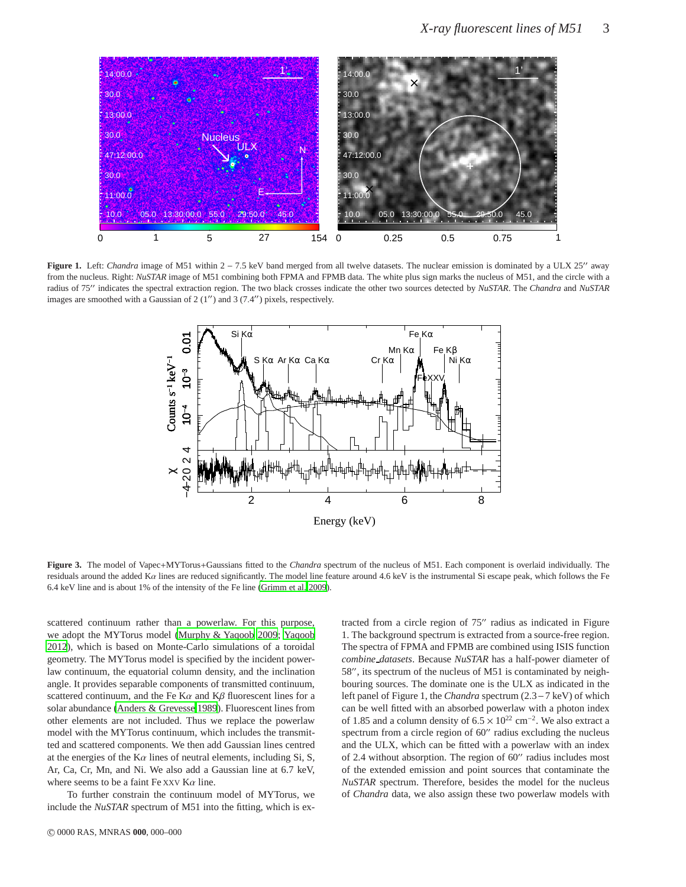

**Figure 1.** Left: *Chandra* image of M51 within 2 − 7.5 keV band merged from all twelve datasets. The nuclear emission is dominated by a ULX 25′′ away from the nucleus. Right: *NuSTAR* image of M51 combining both FPMA and FPMB data. The white plus sign marks the nucleus of M51, and the circle with a radius of 75′′ indicates the spectral extraction region. The two black crosses indicate the other two sources detected by *NuSTAR*. The *Chandra* and *NuSTAR* images are smoothed with a Gaussian of  $2(1'')$  and  $3(7.4'')$  pixels, respectively.



**Figure 3.** The model of Vapec+MYTorus+Gaussians fitted to the *Chandra* spectrum of the nucleus of M51. Each component is overlaid individually. The residuals around the added  $K\alpha$  lines are reduced significantly. The model line feature around 4.6 keV is the instrumental Si escape peak, which follows the Fe 6.4 keV line and is about 1% of the intensity of the Fe line [\(Grimm et al. 2009](#page-4-18)).

scattered continuum rather than a powerlaw. For this purpose, we adopt the MYTorus model [\(Murphy & Yaqoob 2009](#page-4-11); [Yaqoob](#page-4-19) [2012\)](#page-4-19), which is based on Monte-Carlo simulations of a toroidal geometry. The MYTorus model is specified by the incident powerlaw continuum, the equatorial column density, and the inclination angle. It provides separable components of transmitted continuum, scattered continuum, and the Fe K $\alpha$  and K $\beta$  fluorescent lines for a solar abundance [\(Anders & Grevesse 1989](#page-4-20)). Fluorescent lines from other elements are not included. Thus we replace the powerlaw model with the MYTorus continuum, which includes the transmitted and scattered components. We then add Gaussian lines centred at the energies of the  $K\alpha$  lines of neutral elements, including Si, S, Ar, Ca, Cr, Mn, and Ni. We also add a Gaussian line at 6.7 keV, where seems to be a faint Fe XXV  $K\alpha$  line.

To further constrain the continuum model of MYTorus, we include the *NuSTAR* spectrum of M51 into the fitting, which is ex-

tracted from a circle region of 75′′ radius as indicated in Figure 1. The background spectrum is extracted from a source-free region. The spectra of FPMA and FPMB are combined using ISIS function *combine datasets*. Because *NuSTAR* has a half-power diameter of 58′′, its spectrum of the nucleus of M51 is contaminated by neighbouring sources. The dominate one is the ULX as indicated in the left panel of Figure 1, the *Chandra* spectrum (2.3−7 keV) of which can be well fitted with an absorbed powerlaw with a photon index of 1.85 and a column density of  $6.5 \times 10^{22}$  cm<sup>-2</sup>. We also extract a spectrum from a circle region of 60" radius excluding the nucleus and the ULX, which can be fitted with a powerlaw with an index of 2.4 without absorption. The region of 60′′ radius includes most of the extended emission and point sources that contaminate the *NuSTAR* spectrum. Therefore, besides the model for the nucleus of *Chandra* data, we also assign these two powerlaw models with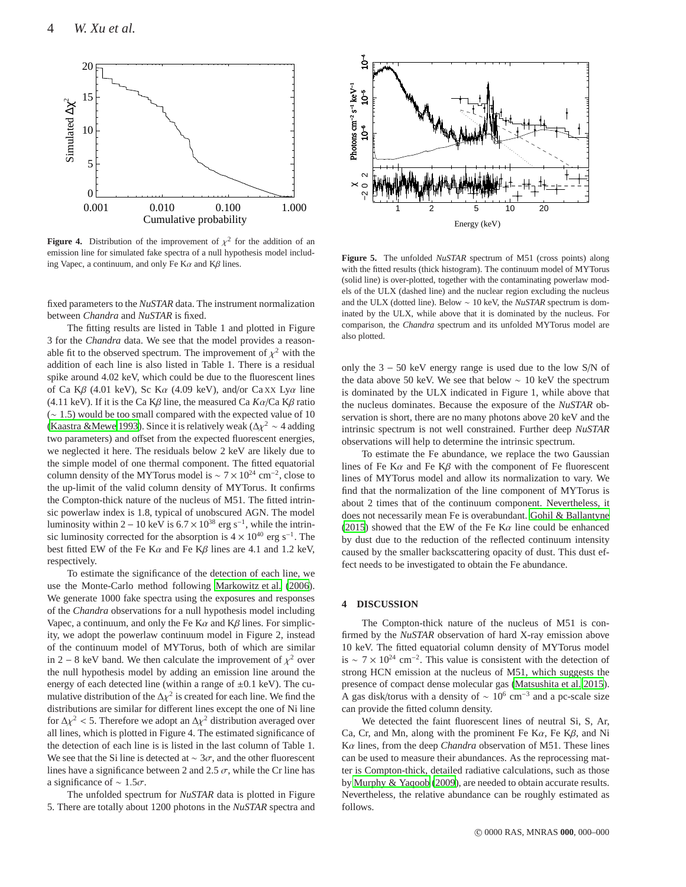

**Figure 4.** Distribution of the improvement of  $\chi^2$  for the addition of an emission line for simulated fake spectra of a null hypothesis model including Vapec, a continuum, and only Fe K $\alpha$  and K $\beta$  lines.

fixed parameters to the *NuSTAR* data. The instrument normalization between *Chandra* and *NuSTAR* is fixed.

The fitting results are listed in Table 1 and plotted in Figure 3 for the *Chandra* data. We see that the model provides a reasonable fit to the observed spectrum. The improvement of  $\chi^2$  with the addition of each line is also listed in Table 1. There is a residual spike around 4.02 keV, which could be due to the fluorescent lines of Ca K $\beta$  (4.01 keV), Sc K $\alpha$  (4.09 keV), and/or Ca XX Ly $\alpha$  line (4.11 keV). If it is the Ca Kβ line, the measured Ca *K*α/Ca Kβ ratio (∼ 1.5) would be too small compared with the expected value of 10 [\(Kaastra &Mewe 1993](#page-4-15)). Since it is relatively weak ( $\Delta \chi^2 \sim 4$  adding two parameters) and offset from the expected fluorescent energies, we neglected it here. The residuals below 2 keV are likely due to the simple model of one thermal component. The fitted equatorial column density of the MYTorus model is  $\sim 7 \times 10^{24}$  cm<sup>-2</sup>, close to the up-limit of the valid column density of MYTorus. It confirms the Compton-thick nature of the nucleus of M51. The fitted intrinsic powerlaw index is 1.8, typical of unobscured AGN. The model luminosity within 2 – 10 keV is  $6.7 \times 10^{38}$  erg s<sup>-1</sup>, while the intrinsic luminosity corrected for the absorption is  $4 \times 10^{40}$  erg s<sup>-1</sup>. The best fitted EW of the Fe K $\alpha$  and Fe K $\beta$  lines are 4.1 and 1.2 keV, respectively.

To estimate the significance of the detection of each line, we use the Monte-Carlo method following [Markowitz et al. \(2006](#page-4-21)). We generate 1000 fake spectra using the exposures and responses of the *Chandra* observations for a null hypothesis model including Vapec, a continuum, and only the Fe K $\alpha$  and K $\beta$  lines. For simplicity, we adopt the powerlaw continuum model in Figure 2, instead of the continuum model of MYTorus, both of which are similar in 2 – 8 keV band. We then calculate the improvement of  $\chi^2$  over the null hypothesis model by adding an emission line around the energy of each detected line (within a range of  $\pm 0.1$  keV). The cumulative distribution of the  $\Delta \chi^2$  is created for each line. We find the distributions are similar for different lines except the one of Ni line for  $\Delta \chi^2$  < 5. Therefore we adopt an  $\Delta \chi^2$  distribution averaged over all lines, which is plotted in Figure 4. The estimated significance of the detection of each line is is listed in the last column of Table 1. We see that the Si line is detected at  $\sim 3\sigma$ , and the other fluorescent lines have a significance between 2 and 2.5  $\sigma$ , while the Cr line has a significance of  $\sim 1.5\sigma$ .

The unfolded spectrum for *NuSTAR* data is plotted in Figure 5. There are totally about 1200 photons in the *NuSTAR* spectra and



**Figure 5.** The unfolded *NuSTAR* spectrum of M51 (cross points) along with the fitted results (thick histogram). The continuum model of MYTorus (solid line) is over-plotted, together with the contaminating powerlaw models of the ULX (dashed line) and the nuclear region excluding the nucleus and the ULX (dotted line). Below ∼ 10 keV, the *NuSTAR* spectrum is dominated by the ULX, while above that it is dominated by the nucleus. For comparison, the *Chandra* spectrum and its unfolded MYTorus model are also plotted.

only the 3 − 50 keV energy range is used due to the low S/N of the data above 50 keV. We see that below ∼ 10 keV the spectrum is dominated by the ULX indicated in Figure 1, while above that the nucleus dominates. Because the exposure of the *NuSTAR* observation is short, there are no many photons above 20 keV and the intrinsic spectrum is not well constrained. Further deep *NuSTAR* observations will help to determine the intrinsic spectrum.

To estimate the Fe abundance, we replace the two Gaussian lines of Fe K $\alpha$  and Fe K $\beta$  with the component of Fe fluorescent lines of MYTorus model and allow its normalization to vary. We find that the normalization of the line component of MYTorus is about 2 times that of the continuum component. Nevertheless, it does not necessarily mean Fe is overabundant. [Gohil & Ballantyne](#page-4-22) [\(2015](#page-4-22)) showed that the EW of the Fe K $\alpha$  line could be enhanced by dust due to the reduction of the reflected continuum intensity caused by the smaller backscattering opacity of dust. This dust effect needs to be investigated to obtain the Fe abundance.

## **4 DISCUSSION**

The Compton-thick nature of the nucleus of M51 is confirmed by the *NuSTAR* observation of hard X-ray emission above 10 keV. The fitted equatorial column density of MYTorus model is ~  $7 \times 10^{24}$  cm<sup>-2</sup>. This value is consistent with the detection of strong HCN emission at the nucleus of M51, which suggests the presence of compact dense molecular gas [\(Matsushita et al. 2015](#page-4-23)). A gas disk/torus with a density of  $\sim 10^6$  cm<sup>-3</sup> and a pc-scale size can provide the fitted column density.

We detected the faint fluorescent lines of neutral Si, S, Ar, Ca, Cr, and Mn, along with the prominent Fe K $\alpha$ , Fe K $\beta$ , and Ni Kα lines, from the deep *Chandra* observation of M51. These lines can be used to measure their abundances. As the reprocessing matter is Compton-thick, detailed radiative calculations, such as those by [Murphy & Yaqoob](#page-4-11) [\(2009](#page-4-11)), are needed to obtain accurate results. Nevertheless, the relative abundance can be roughly estimated as follows.